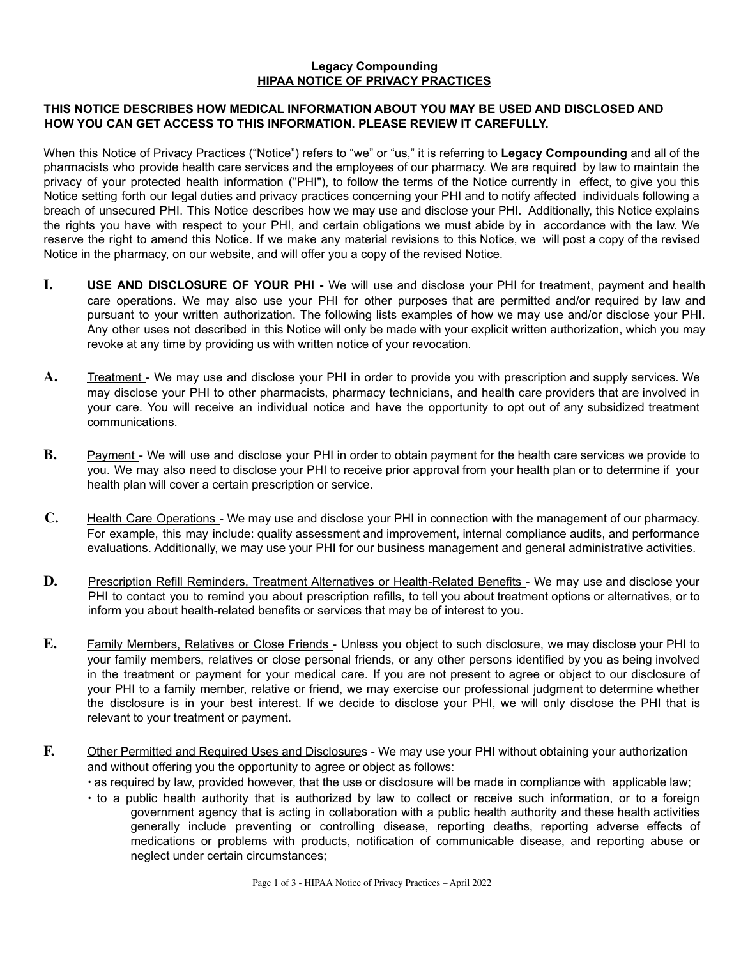## **Legacy Compounding HIPAA NOTICE OF PRIVACY PRACTICES**

## **THIS NOTICE DESCRIBES HOW MEDICAL INFORMATION ABOUT YOU MAY BE USED AND DISCLOSED AND HOW YOU CAN GET ACCESS TO THIS INFORMATION. PLEASE REVIEW IT CAREFULLY.**

When this Notice of Privacy Practices ("Notice") refers to "we" or "us," it is referring to **Legacy Compounding** and all of the pharmacists who provide health care services and the employees of our pharmacy. We are required by law to maintain the privacy of your protected health information ("PHI"), to follow the terms of the Notice currently in effect, to give you this Notice setting forth our legal duties and privacy practices concerning your PHI and to notify affected individuals following a breach of unsecured PHI. This Notice describes how we may use and disclose your PHI. Additionally, this Notice explains the rights you have with respect to your PHI, and certain obligations we must abide by in accordance with the law. We reserve the right to amend this Notice. If we make any material revisions to this Notice, we will post a copy of the revised Notice in the pharmacy, on our website, and will offer you a copy of the revised Notice.

- **I. USE AND DISCLOSURE OF YOUR PHI -** We will use and disclose your PHI for treatment, payment and health care operations. We may also use your PHI for other purposes that are permitted and/or required by law and pursuant to your written authorization. The following lists examples of how we may use and/or disclose your PHI. Any other uses not described in this Notice will only be made with your explicit written authorization, which you may revoke at any time by providing us with written notice of your revocation.
- A. **Treatment** We may use and disclose your PHI in order to provide you with prescription and supply services. We may disclose your PHI to other pharmacists, pharmacy technicians, and health care providers that are involved in your care. You will receive an individual notice and have the opportunity to opt out of any subsidized treatment communications.
- **B.** Payment We will use and disclose your PHI in order to obtain payment for the health care services we provide to you. We may also need to disclose your PHI to receive prior approval from your health plan or to determine if your health plan will cover a certain prescription or service.
- **C.** Health Care Operations We may use and disclose your PHI in connection with the management of our pharmacy. For example, this may include: quality assessment and improvement, internal compliance audits, and performance evaluations. Additionally, we may use your PHI for our business management and general administrative activities.
- **D.** Prescription Refill Reminders, Treatment Alternatives or Health-Related Benefits We may use and disclose your PHI to contact you to remind you about prescription refills, to tell you about treatment options or alternatives, or to inform you about health-related benefits or services that may be of interest to you.
- **E.** Family Members, Relatives or Close Friends Unless you object to such disclosure, we may disclose your PHI to your family members, relatives or close personal friends, or any other persons identified by you as being involved in the treatment or payment for your medical care. If you are not present to agree or object to our disclosure of your PHI to a family member, relative or friend, we may exercise our professional judgment to determine whether the disclosure is in your best interest. If we decide to disclose your PHI, we will only disclose the PHI that is relevant to your treatment or payment.
- **F.** Other Permitted and Required Uses and Disclosures We may use your PHI without obtaining your authorization and without offering you the opportunity to agree or object as follows:
	- ∙ as required by law, provided however, that the use or disclosure will be made in compliance with applicable law;
	- ∙ to a public health authority that is authorized by law to collect or receive such information, or to a foreign government agency that is acting in collaboration with a public health authority and these health activities generally include preventing or controlling disease, reporting deaths, reporting adverse effects of medications or problems with products, notification of communicable disease, and reporting abuse or neglect under certain circumstances;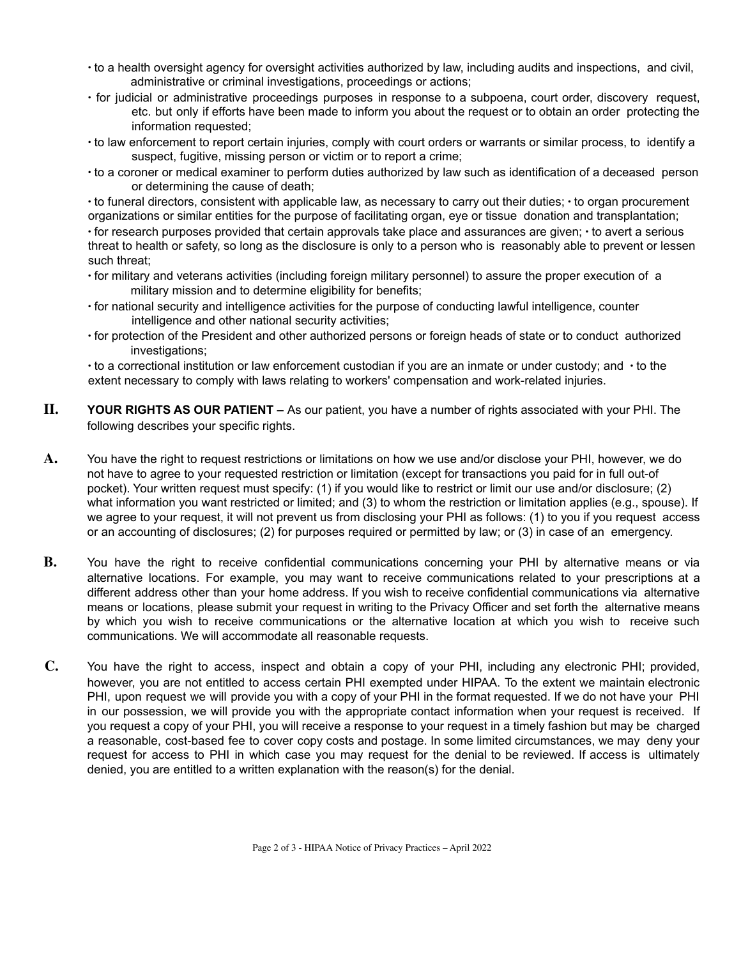- ∙ to a health oversight agency for oversight activities authorized by law, including audits and inspections, and civil, administrative or criminal investigations, proceedings or actions;
- ∙ for judicial or administrative proceedings purposes in response to a subpoena, court order, discovery request, etc. but only if efforts have been made to inform you about the request or to obtain an order protecting the information requested;
- ∙ to law enforcement to report certain injuries, comply with court orders or warrants or similar process, to identify a suspect, fugitive, missing person or victim or to report a crime;
- ∙ to a coroner or medical examiner to perform duties authorized by law such as identification of a deceased person or determining the cause of death;

∙ to funeral directors, consistent with applicable law, as necessary to carry out their duties; ∙ to organ procurement organizations or similar entities for the purpose of facilitating organ, eye or tissue donation and transplantation;

∙ for research purposes provided that certain approvals take place and assurances are given; ∙ to avert a serious threat to health or safety, so long as the disclosure is only to a person who is reasonably able to prevent or lessen such threat;

- ∙ for military and veterans activities (including foreign military personnel) to assure the proper execution of a military mission and to determine eligibility for benefits;
- ∙ for national security and intelligence activities for the purpose of conducting lawful intelligence, counter intelligence and other national security activities;
- ∙ for protection of the President and other authorized persons or foreign heads of state or to conduct authorized investigations;

∙ to a correctional institution or law enforcement custodian if you are an inmate or under custody; and ∙ to the extent necessary to comply with laws relating to workers' compensation and work-related injuries.

- **II. YOUR RIGHTS AS OUR PATIENT –** As our patient, you have a number of rights associated with your PHI. The following describes your specific rights.
- **A.** You have the right to request restrictions or limitations on how we use and/or disclose your PHI, however, we do not have to agree to your requested restriction or limitation (except for transactions you paid for in full out-of pocket). Your written request must specify: (1) if you would like to restrict or limit our use and/or disclosure; (2) what information you want restricted or limited; and (3) to whom the restriction or limitation applies (e.g., spouse). If we agree to your request, it will not prevent us from disclosing your PHI as follows: (1) to you if you request access or an accounting of disclosures; (2) for purposes required or permitted by law; or (3) in case of an emergency.
- **B.** You have the right to receive confidential communications concerning your PHI by alternative means or via alternative locations. For example, you may want to receive communications related to your prescriptions at a different address other than your home address. If you wish to receive confidential communications via alternative means or locations, please submit your request in writing to the Privacy Officer and set forth the alternative means by which you wish to receive communications or the alternative location at which you wish to receive such communications. We will accommodate all reasonable requests.
- **C.** You have the right to access, inspect and obtain a copy of your PHI, including any electronic PHI; provided, however, you are not entitled to access certain PHI exempted under HIPAA. To the extent we maintain electronic PHI, upon request we will provide you with a copy of your PHI in the format requested. If we do not have your PHI in our possession, we will provide you with the appropriate contact information when your request is received. If you request a copy of your PHI, you will receive a response to your request in a timely fashion but may be charged a reasonable, cost-based fee to cover copy costs and postage. In some limited circumstances, we may deny your request for access to PHI in which case you may request for the denial to be reviewed. If access is ultimately denied, you are entitled to a written explanation with the reason(s) for the denial.